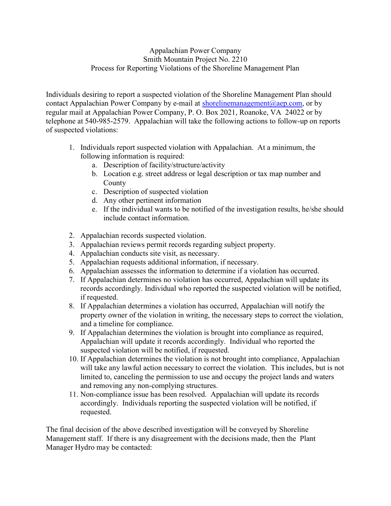## Appalachian Power Company Smith Mountain Project No. 2210 Process for Reporting Violations of the Shoreline Management Plan

Individuals desiring to report a suspected violation of the Shoreline Management Plan should contact Appalachian Power Company by e-mail at shorelinemanagement@aep.com, or by regular mail at Appalachian Power Company, P. O. Box 2021, Roanoke, VA 24022 or by telephone at 540-985-2579. Appalachian will take the following actions to follow-up on reports of suspected violations:

- 1. Individuals report suspected violation with Appalachian. At a minimum, the following information is required:
	- a. Description of facility/structure/activity
	- b. Location e.g. street address or legal description or tax map number and County
	- c. Description of suspected violation
	- d. Any other pertinent information
	- e. If the individual wants to be notified of the investigation results, he/she should include contact information.
- 2. Appalachian records suspected violation.
- 3. Appalachian reviews permit records regarding subject property.
- 4. Appalachian conducts site visit, as necessary.
- 5. Appalachian requests additional information, if necessary.
- 6. Appalachian assesses the information to determine if a violation has occurred.
- 7. If Appalachian determines no violation has occurred, Appalachian will update its records accordingly. Individual who reported the suspected violation will be notified, if requested.
- 8. If Appalachian determines a violation has occurred, Appalachian will notify the property owner of the violation in writing, the necessary steps to correct the violation, and a timeline for compliance.
- 9. If Appalachian determines the violation is brought into compliance as required, Appalachian will update it records accordingly. Individual who reported the suspected violation will be notified, if requested.
- 10. If Appalachian determines the violation is not brought into compliance, Appalachian will take any lawful action necessary to correct the violation. This includes, but is not limited to, canceling the permission to use and occupy the project lands and waters and removing any non-complying structures.
- 11. Non-compliance issue has been resolved. Appalachian will update its records accordingly. Individuals reporting the suspected violation will be notified, if requested.

The final decision of the above described investigation will be conveyed by Shoreline Management staff. If there is any disagreement with the decisions made, then the Plant Manager Hydro may be contacted: